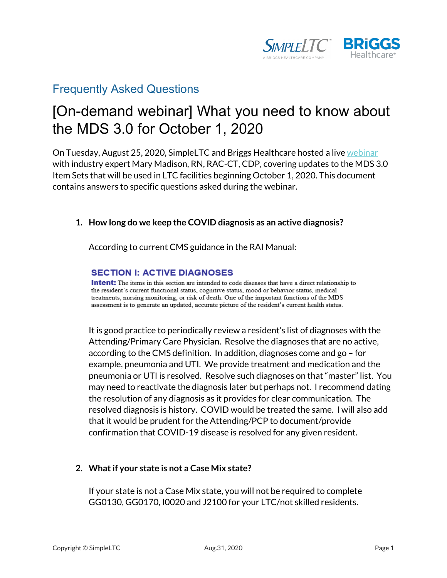

## Frequently Asked Questions

# [On-demand webinar] What you need to know about the MDS 3.0 for October 1, 2020

On Tuesday, August 25, 2020, SimpleLTC and Briggs Healthcare hosted a live [webinar](https://www.simpleltc.com/what-you-need-to-know-about-the-mds-3-0-for-october-1-2020-webinar/) with industry expert Mary Madison, RN, RAC-CT, CDP, covering updates to the MDS 3.0 Item Sets that will be used in LTC facilities beginning October 1, 2020. This document contains answers to specific questions asked during the webinar.

### **1. How long do we keep the COVID diagnosis as an active diagnosis?**

According to current CMS guidance in the RAI Manual:

#### **SECTION I: ACTIVE DIAGNOSES**

**Intent:** The items in this section are intended to code diseases that have a direct relationship to the resident's current functional status, cognitive status, mood or behavior status, medical treatments, nursing monitoring, or risk of death. One of the important functions of the MDS assessment is to generate an updated, accurate picture of the resident's current health status.

It is good practice to periodically review a resident's list of diagnoses with the Attending/Primary Care Physician. Resolve the diagnoses that are no active, according to the CMS definition. In addition, diagnoses come and go – for example, pneumonia and UTI. We provide treatment and medication and the pneumonia or UTI is resolved. Resolve such diagnoses on that "master" list. You may need to reactivate the diagnosis later but perhaps not. I recommend dating the resolution of any diagnosis as it provides for clear communication. The resolved diagnosis is history. COVID would be treated the same. I will also add that it would be prudent for the Attending/PCP to document/provide confirmation that COVID-19 disease is resolved for any given resident.

### **2. What if your state is not a Case Mix state?**

If your state is not a Case Mix state, you will not be required to complete GG0130, GG0170, I0020 and J2100 for your LTC/not skilled residents.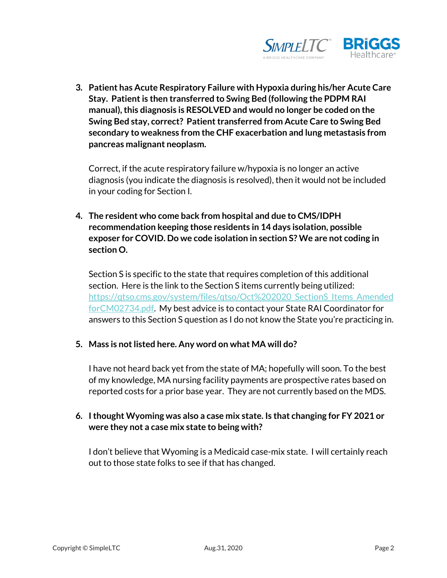

**3. Patient has Acute Respiratory Failure with Hypoxia during his/her Acute Care Stay. Patient is then transferred to Swing Bed (following the PDPM RAI manual), this diagnosis is RESOLVED and would no longer be coded on the Swing Bed stay, correct? Patient transferred from Acute Care to Swing Bed secondary to weakness from the CHF exacerbation and lung metastasis from pancreas malignant neoplasm.** 

Correct, if the acute respiratory failure w/hypoxia is no longer an active diagnosis (you indicate the diagnosis is resolved), then it would not be included in your coding for Section I.

**4. The resident who come back from hospital and due to CMS/IDPH recommendation keeping those residents in 14 days isolation, possible exposer for COVID. Do we code isolation in section S? We are not coding in section O.**

Section S is specific to the state that requires completion of this additional section. Here is the link to the Section S items currently being utilized: [https://qtso.cms.gov/system/files/qtso/Oct%202020\\_SectionS\\_Items\\_Amended](https://qtso.cms.gov/system/files/qtso/Oct%202020_SectionS_Items_AmendedforCM02734.pdf) [forCM02734.pdf.](https://qtso.cms.gov/system/files/qtso/Oct%202020_SectionS_Items_AmendedforCM02734.pdf) My best advice is to contact your State RAI Coordinator for answers to this Section S question as I do not know the State you're practicing in.

### **5. Mass is not listed here. Any word on what MA will do?**

I have not heard back yet from the state of MA; hopefully will soon. To the best of my knowledge, MA nursing facility payments are prospective rates based on reported costs for a prior base year. They are not currently based on the MDS.

### **6. I thought Wyoming was also a case mix state. Is that changing for FY 2021 or were they not a case mix state to being with?**

I don't believe that Wyoming is a Medicaid case-mix state. I will certainly reach out to those state folks to see if that has changed.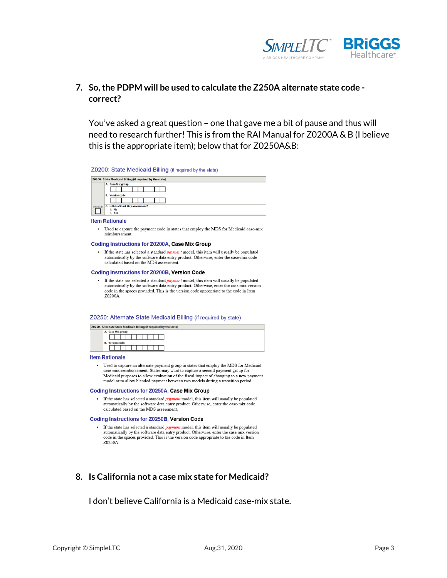

## **7. So, the PDPM will be used to calculate the Z250A alternate state code correct?**

You've asked a great question – one that gave me a bit of pause and thus will need to research further! This is from the RAI Manual for Z0200A & B (I believe this is the appropriate item); below that for Z0250A&B:

Z0200: State Medicaid Billing (if required by the state)

| Z0200. State Medicaid Billing (if required by the state) |                                     |  |  |  |  |  |
|----------------------------------------------------------|-------------------------------------|--|--|--|--|--|
|                                                          | A. Case Mix group:                  |  |  |  |  |  |
|                                                          |                                     |  |  |  |  |  |
|                                                          | <b>Version code:</b><br><b>B.</b>   |  |  |  |  |  |
|                                                          |                                     |  |  |  |  |  |
| <b>Enter Code</b>                                        | C. Is this a Short Stay assessment? |  |  |  |  |  |
|                                                          | $0.$ No                             |  |  |  |  |  |
|                                                          | Yes                                 |  |  |  |  |  |

**Item Rationale** 

• Used to capture the payment code in states that employ the MDS for Medicaid case-mix reimbursement.

#### Coding Instructions for Z0200A, Case Mix Group

• If the state has selected a standard payment model, this item will usually be populated automatically by the software data entry product. Otherwise, enter the case-mix code calculated based on the MDS assessment.

#### Coding Instructions for Z0200B, Version Code

• If the state has selected a standard payment model, this item will usually be populated automatically by the software data entry product. Otherwise, enter the case mix version code in the spaces provided. This is the version code appropriate to the code in Item Z0200A

#### Z0250: Alternate State Medicaid Billing (if required by state)

|  |                      |  |  |  |  | 50. Alternate State Medicaid Billing (if required by the state) |  |
|--|----------------------|--|--|--|--|-----------------------------------------------------------------|--|
|  | A. Case Mix group:   |  |  |  |  |                                                                 |  |
|  |                      |  |  |  |  |                                                                 |  |
|  | <b>Version code:</b> |  |  |  |  |                                                                 |  |
|  |                      |  |  |  |  |                                                                 |  |

#### **Item Rationale**

zo:

- Used to capture an alternate payment group in states that employ the MDS for Medicaid case-mix reimbursement. States may want to capture a second payment group for Medicaid purposes to allow evaluation of the fiscal impact of changing to a new payment model or to allow blended payment between two models during a transition period.

#### Coding Instructions for Z0250A, Case Mix Group

• If the state has selected a standard *payment* model, this item will usually be populated automatically by the software data entry product. Otherwise, enter the case-mix code calculated based on the MDS assessment.

#### Coding Instructions for Z0250B, Version Code

· If the state has selected a standard payment model, this item will usually be populated automatically by the software data entry product. Otherwise, enter the case mix version code in the spaces provided. This is the version code appropriate to the code in Item Z0250A.

#### **8. Is California not a case mix state for Medicaid?**

I don't believe California is a Medicaid case-mix state.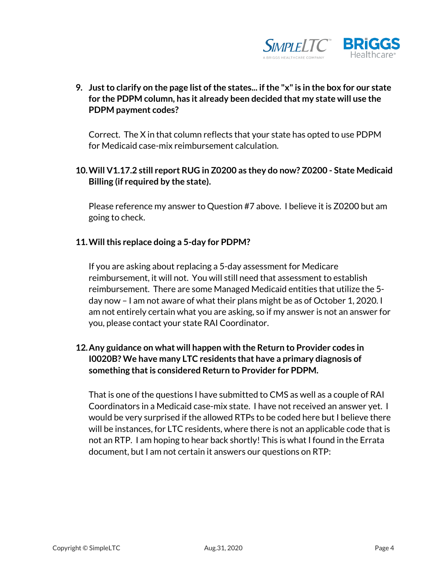

**9. Just to clarify on the page list of the states... if the "x" is in the box for our state for the PDPM column, has it already been decided that my state will use the PDPM payment codes?**

Correct. The X in that column reflects that your state has opted to use PDPM for Medicaid case-mix reimbursement calculation.

**10.Will V1.17.2 still report RUG in Z0200 as they do now? Z0200 - State Medicaid Billing (if required by the state).**

Please reference my answer to Question #7 above. I believe it is Z0200 but am going to check.

### **11.Will this replace doing a 5-day for PDPM?**

If you are asking about replacing a 5-day assessment for Medicare reimbursement, it will not. You will still need that assessment to establish reimbursement. There are some Managed Medicaid entities that utilize the 5 day now – I am not aware of what their plans might be as of October 1, 2020. I am not entirely certain what you are asking, so if my answer is not an answer for you, please contact your state RAI Coordinator.

## **12.Any guidance on what will happen with the Return to Provider codes in I0020B? We have many LTC residents that have a primary diagnosis of something that is considered Return to Provider for PDPM.**

That is one of the questions I have submitted to CMS as well as a couple of RAI Coordinators in a Medicaid case-mix state. I have not received an answer yet. I would be very surprised if the allowed RTPs to be coded here but I believe there will be instances, for LTC residents, where there is not an applicable code that is not an RTP. I am hoping to hear back shortly! This is what I found in the Errata document, but I am not certain it answers our questions on RTP: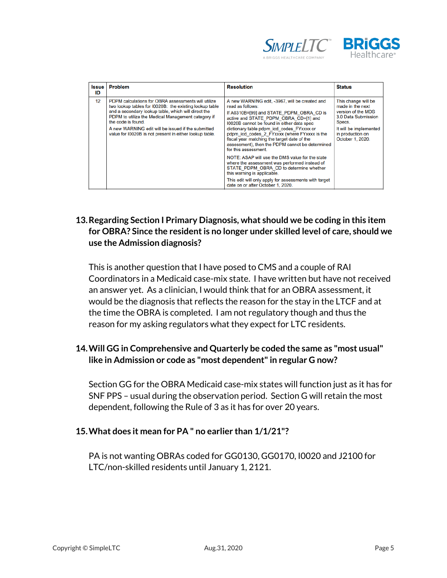



| <b>Issue</b><br>ID | Problem                                                                                                                                                                                                                                                                                                                                                            | <b>Resolution</b>                                                                                                                                                                                                                                                                                                                                                                                                                                                                                                                                                                                                                                                                                        | <b>Status</b>                                                                                                                                                    |
|--------------------|--------------------------------------------------------------------------------------------------------------------------------------------------------------------------------------------------------------------------------------------------------------------------------------------------------------------------------------------------------------------|----------------------------------------------------------------------------------------------------------------------------------------------------------------------------------------------------------------------------------------------------------------------------------------------------------------------------------------------------------------------------------------------------------------------------------------------------------------------------------------------------------------------------------------------------------------------------------------------------------------------------------------------------------------------------------------------------------|------------------------------------------------------------------------------------------------------------------------------------------------------------------|
| 12                 | PDPM calculations for OBRA assessments will utilize<br>two lookup tables for 10020B: the existing lookup table<br>and a secondary lookup table, which will direct the<br>PDPM to utilize the Medical Management category if<br>the code is found.<br>A new WARNING edit will be issued if the submitted<br>value for I0020B is not present in either lookup table. | A new WARNING edit, -3967, will be created and<br>read as follows:<br>If A0310B=[99] and STATE PDPM OBRA CD is<br>active and STATE PDPM OBRA CD=[1] and<br>10020B cannot be found in either data spec<br>dictionary table pdpm_icd_codes_FYxxxx or<br>pdpm icd codes 2 FYxxxx (where FYxxxx is the<br>fiscal year matching the target date of the<br>assessment), then the PDPM cannot be determined<br>for this assessment.<br>NOTE: ASAP will use the DMS value for the state<br>where the assessment was performed instead of<br>STATE PDPM OBRA CD to determine whether<br>this warning is applicable.<br>This edit will only apply for assessments with target<br>date on or after October 1, 2020. | This change will be<br>made in the next<br>version of the MDS<br>3.0 Data Submission<br>Specs.<br>It will be implemented<br>in production on<br>October 1, 2020. |

## **13.Regarding Section I Primary Diagnosis, what should we be coding in this item for OBRA? Since the resident is no longer under skilled level of care, should we use the Admission diagnosis?**

This is another question that I have posed to CMS and a couple of RAI Coordinators in a Medicaid case-mix state. I have written but have not received an answer yet. As a clinician, I would think that for an OBRA assessment, it would be the diagnosis that reflects the reason for the stay in the LTCF and at the time the OBRA is completed. I am not regulatory though and thus the reason for my asking regulators what they expect for LTC residents.

## **14.Will GG in Comprehensive and Quarterly be coded the same as "most usual" like in Admission or code as "most dependent" in regular G now?**

Section GG for the OBRA Medicaid case-mix states will function just as it has for SNF PPS – usual during the observation period. Section G will retain the most dependent, following the Rule of 3 as it has for over 20 years.

## **15.What does it mean for PA " no earlier than 1/1/21"?**

PA is not wanting OBRAs coded for GG0130, GG0170, I0020 and J2100 for LTC/non-skilled residents until January 1, 2121.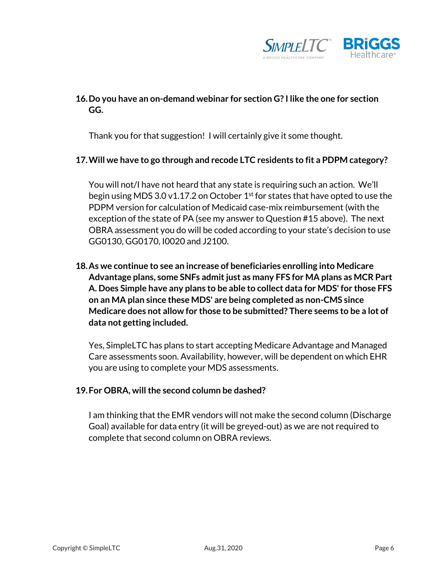

## **16.Do you have an on-demand webinar for section G? I like the one for section GG.**

Thank you for that suggestion! I will certainly give it some thought.

### **17.Will we have to go through and recode LTC residents to fit a PDPM category?**

You will not/I have not heard that any state is requiring such an action. We'll begin using MDS 3.0 v1.17.2 on October  $1<sup>st</sup>$  for states that have opted to use the PDPM version for calculation of Medicaid case-mix reimbursement (with the exception of the state of PA (see my answer to Question #15 above). The next OBRA assessment you do will be coded according to your state's decision to use GG0130, GG0170, I0020 and J2100.

**18.As we continue to see an increase of beneficiaries enrolling into Medicare Advantage plans, some SNFs admit just as many FFS for MA plans as MCR Part A. Does Simple have any plans to be able to collect data for MDS' for those FFS on an MA plan since these MDS' are being completed as non-CMS since Medicare does not allow for those to be submitted? There seems to be a lot of data not getting included.**

Yes, SimpleLTC has plans to start accepting Medicare Advantage and Managed Care assessments soon. Availability, however, will be dependent on which EHR you are using to complete your MDS assessments.

#### **19.For OBRA, will the second column be dashed?**

I am thinking that the EMR vendors will not make the second column (Discharge Goal) available for data entry (it will be greyed-out) as we are not required to complete that second column on OBRA reviews.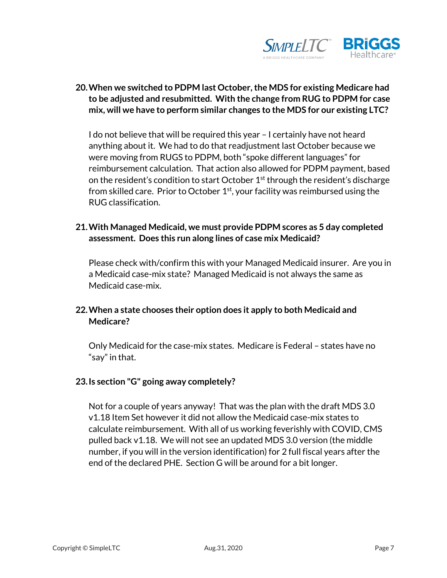

## **20.When we switched to PDPM last October, the MDS for existing Medicare had to be adjusted and resubmitted. With the change from RUG to PDPM for case mix, will we have to perform similar changes to the MDS for our existing LTC?**

I do not believe that will be required this year – I certainly have not heard anything about it. We had to do that readjustment last October because we were moving from RUGS to PDPM, both "spoke different languages" for reimbursement calculation. That action also allowed for PDPM payment, based on the resident's condition to start October  $1<sup>st</sup>$  through the resident's discharge from skilled care. Prior to October 1st, your facility was reimbursed using the RUG classification.

## **21.With Managed Medicaid, we must provide PDPM scores as 5 day completed assessment. Does this run along lines of case mix Medicaid?**

Please check with/confirm this with your Managed Medicaid insurer. Are you in a Medicaid case-mix state? Managed Medicaid is not always the same as Medicaid case-mix.

## **22.When a state chooses their option does it apply to both Medicaid and Medicare?**

Only Medicaid for the case-mix states. Medicare is Federal – states have no "say" in that.

### **23.Is section "G" going away completely?**

Not for a couple of years anyway! That was the plan with the draft MDS 3.0 v1.18 Item Set however it did not allow the Medicaid case-mix states to calculate reimbursement. With all of us working feverishly with COVID, CMS pulled back v1.18. We will not see an updated MDS 3.0 version (the middle number, if you will in the version identification) for 2 full fiscal years after the end of the declared PHE. Section G will be around for a bit longer.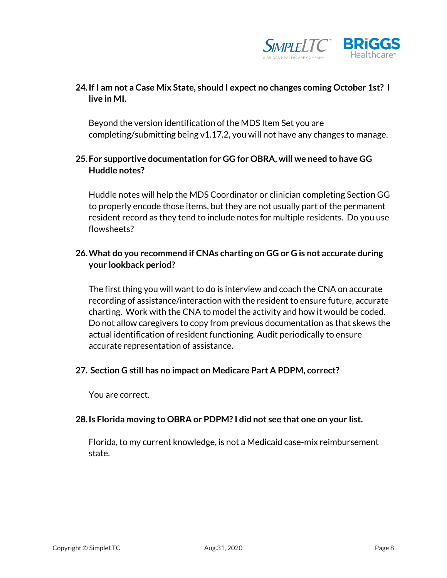

## **24.If I am not a Case Mix State, should I expect no changes coming October 1st? I live in MI.**

Beyond the version identification of the MDS Item Set you are completing/submitting being v1.17.2, you will not have any changes to manage.

## **25.For supportive documentation for GG for OBRA, will we need to have GG Huddle notes?**

Huddle notes will help the MDS Coordinator or clinician completing Section GG to properly encode those items, but they are not usually part of the permanent resident record as they tend to include notes for multiple residents. Do you use flowsheets?

### **26.What do you recommend if CNAs charting on GG or G is not accurate during your lookback period?**

The first thing you will want to do is interview and coach the CNA on accurate recording of assistance/interaction with the resident to ensure future, accurate charting. Work with the CNA to model the activity and how it would be coded. Do not allow caregivers to copy from previous documentation as that skews the actual identification of resident functioning. Audit periodically to ensure accurate representation of assistance.

### **27. Section G still has no impact on Medicare Part A PDPM, correct?**

You are correct.

#### **28.Is Florida moving to OBRA or PDPM? I did not see that one on your list.**

Florida, to my current knowledge, is not a Medicaid case-mix reimbursement state.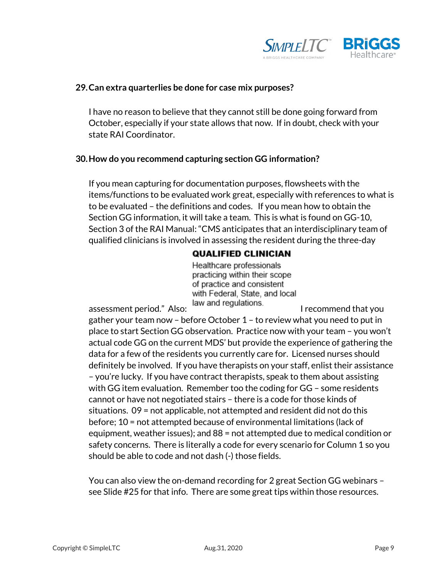

#### **29.Can extra quarterlies be done for case mix purposes?**

I have no reason to believe that they cannot still be done going forward from October, especially if your state allows that now. If in doubt, check with your state RAI Coordinator.

#### **30.How do you recommend capturing section GG information?**

If you mean capturing for documentation purposes, flowsheets with the items/functions to be evaluated work great, especially with references to what is to be evaluated – the definitions and codes. If you mean how to obtain the Section GG information, it will take a team. This is what is found on GG-10, Section 3 of the RAI Manual: "CMS anticipates that an interdisciplinary team of qualified clinicians is involved in assessing the resident during the three-day

### **QUALIFIED CLINICIAN**

Healthcare professionals practicing within their scope of practice and consistent with Federal, State, and local

assessment period." Also: law and regulations. I recommend that you

gather your team now – before October 1 – to review what you need to put in place to start Section GG observation. Practice now with your team – you won't actual code GG on the current MDS' but provide the experience of gathering the data for a few of the residents you currently care for. Licensed nurses should definitely be involved. If you have therapists on your staff, enlist their assistance – you're lucky. If you have contract therapists, speak to them about assisting with GG item evaluation. Remember too the coding for GG – some residents cannot or have not negotiated stairs – there is a code for those kinds of situations. 09 = not applicable, not attempted and resident did not do this before; 10 = not attempted because of environmental limitations (lack of equipment, weather issues); and 88 = not attempted due to medical condition or safety concerns. There is literally a code for every scenario for Column 1 so you should be able to code and not dash (-) those fields.

You can also view the on-demand recording for 2 great Section GG webinars – see Slide #25 for that info. There are some great tips within those resources.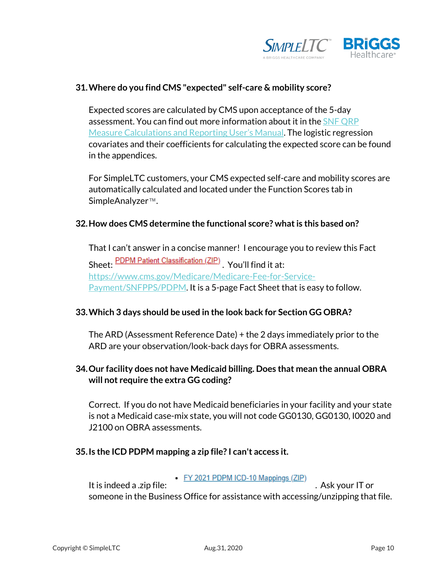

### **31.Where do you find CMS "expected" self-care & mobility score?**

Expected scores are calculated by CMS upon acceptance of the 5-day assessment. You can find out more information about it in the SNF QRP [Measure Calculations and Reporting User's Manual.](https://www.simpleltc.com/wp-content/uploads/2020/08/SNF-QRP-Measure-Calculations-and-Reporting-Users-Manual-V30.pdf) The logistic regression covariates and their coefficients for calculating the expected score can be found in the appendices.

For SimpleLTC customers, your CMS expected self-care and mobility scores are automatically calculated and located under the Function Scores tab in SimpleAnalyzer™.

#### **32.How does CMS determine the functional score? what is this based on?**

That I can't answer in a concise manner! I encourage you to review this Fact Sheet: PDPM Patient Classification (ZIP) You'll find it at: [https://www.cms.gov/Medicare/Medicare-Fee-for-Service-](https://www.cms.gov/Medicare/Medicare-Fee-for-Service-Payment/SNFPPS/PDPM)[Payment/SNFPPS/PDPM.](https://www.cms.gov/Medicare/Medicare-Fee-for-Service-Payment/SNFPPS/PDPM) It is a 5-page Fact Sheet that is easy to follow.

### **33.Which 3 days should be used in the look back for Section GG OBRA?**

The ARD (Assessment Reference Date) + the 2 days immediately prior to the ARD are your observation/look-back days for OBRA assessments.

### **34.Our facility does not have Medicaid billing. Does that mean the annual OBRA will not require the extra GG coding?**

Correct. If you do not have Medicaid beneficiaries in your facility and your state is not a Medicaid case-mix state, you will not code GG0130, GG0130, I0020 and J2100 on OBRA assessments.

### **35.Is the ICD PDPM mapping a zip file? I can't access it.**

It is indeed a .zip file:  $\frac{FY 2021 \text{ PDPM ICD-10 Mappings (ZIP)}}{FY 2021 \text{ PDPM ICD-10 Mappings (ZIP)}}$ . Ask your IT or someone in the Business Office for assistance with accessing/unzipping that file.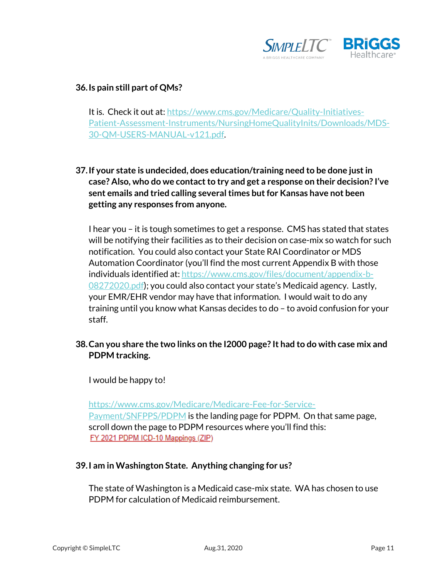

### **36.Is pain still part of QMs?**

It is. Check it out at[: https://www.cms.gov/Medicare/Quality-Initiatives-](https://www.cms.gov/Medicare/Quality-Initiatives-Patient-Assessment-Instruments/NursingHomeQualityInits/Downloads/MDS-30-QM-USERS-MANUAL-v121.pdf)[Patient-Assessment-Instruments/NursingHomeQualityInits/Downloads/MDS-](https://www.cms.gov/Medicare/Quality-Initiatives-Patient-Assessment-Instruments/NursingHomeQualityInits/Downloads/MDS-30-QM-USERS-MANUAL-v121.pdf)[30-QM-USERS-MANUAL-v121.pdf.](https://www.cms.gov/Medicare/Quality-Initiatives-Patient-Assessment-Instruments/NursingHomeQualityInits/Downloads/MDS-30-QM-USERS-MANUAL-v121.pdf)

**37.If your state is undecided, does education/training need to be done just in case? Also, who do we contact to try and get a response on their decision? I've sent emails and tried calling several times but for Kansas have not been getting any responses from anyone.**

I hear you – it is tough sometimes to get a response. CMS has stated that states will be notifying their facilities as to their decision on case-mix so watch for such notification. You could also contact your State RAI Coordinator or MDS Automation Coordinator (you'll find the most current Appendix B with those individuals identified at: [https://www.cms.gov/files/document/appendix-b-](https://www.cms.gov/files/document/appendix-b-08272020.pdf)[08272020.pdf\)](https://www.cms.gov/files/document/appendix-b-08272020.pdf); you could also contact your state's Medicaid agency. Lastly, your EMR/EHR vendor may have that information. I would wait to do any training until you know what Kansas decides to do – to avoid confusion for your staff.

**38.Can you share the two links on the I2000 page? It had to do with case mix and PDPM tracking.**

I would be happy to!

[https://www.cms.gov/Medicare/Medicare-Fee-for-Service-](https://www.cms.gov/Medicare/Medicare-Fee-for-Service-Payment/SNFPPS/PDPM)[Payment/SNFPPS/PDPM](https://www.cms.gov/Medicare/Medicare-Fee-for-Service-Payment/SNFPPS/PDPM) is the landing page for PDPM. On that same page, scroll down the page to PDPM resources where you'll find this: FY 2021 PDPM ICD-10 Mappings (ZIP)

### **39.I am in Washington State. Anything changing for us?**

The state of Washington is a Medicaid case-mix state. WA has chosen to use PDPM for calculation of Medicaid reimbursement.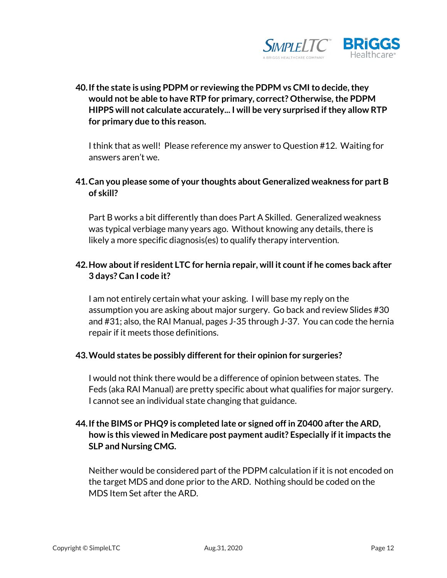

**40.If the state is using PDPM or reviewing the PDPM vs CMI to decide, they would not be able to have RTP for primary, correct? Otherwise, the PDPM HIPPS will not calculate accurately... I will be very surprised if they allow RTP for primary due to this reason.**

I think that as well! Please reference my answer to Question #12. Waiting for answers aren't we.

## **41.Can you please some of your thoughts about Generalized weakness for part B of skill?**

Part B works a bit differently than does Part A Skilled. Generalized weakness was typical verbiage many years ago. Without knowing any details, there is likely a more specific diagnosis(es) to qualify therapy intervention.

## **42.How about if resident LTC for hernia repair, will it count if he comes back after 3 days? Can I code it?**

I am not entirely certain what your asking. I will base my reply on the assumption you are asking about major surgery. Go back and review Slides #30 and #31; also, the RAI Manual, pages J-35 through J-37. You can code the hernia repair if it meets those definitions.

### **43.Would states be possibly different for their opinion for surgeries?**

I would not think there would be a difference of opinion between states. The Feds (aka RAI Manual) are pretty specific about what qualifies for major surgery. I cannot see an individual state changing that guidance.

## **44.If the BIMS or PHQ9 is completed late or signed off in Z0400 after the ARD, how is this viewed in Medicare post payment audit? Especially if it impacts the SLP and Nursing CMG.**

Neither would be considered part of the PDPM calculation if it is not encoded on the target MDS and done prior to the ARD. Nothing should be coded on the MDS Item Set after the ARD.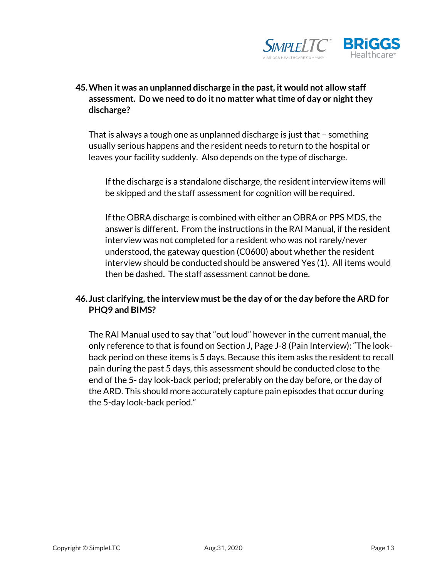

## **45.When it was an unplanned discharge in the past, it would not allow staff assessment. Do we need to do it no matter what time of day or night they discharge?**

That is always a tough one as unplanned discharge is just that – something usually serious happens and the resident needs to return to the hospital or leaves your facility suddenly. Also depends on the type of discharge.

If the discharge is a standalone discharge, the resident interview items will be skipped and the staff assessment for cognition will be required.

If the OBRA discharge is combined with either an OBRA or PPS MDS, the answer is different. From the instructions in the RAI Manual, if the resident interview was not completed for a resident who was not rarely/never understood, the gateway question (C0600) about whether the resident interview should be conducted should be answered Yes (1). All items would then be dashed. The staff assessment cannot be done.

## **46. Just clarifying, the interview must be the day of or the day before the ARD for PHQ9 and BIMS?**

The RAI Manual used to say that "out loud" however in the current manual, the only reference to that is found on Section J, Page J-8 (Pain Interview): "The lookback period on these items is 5 days. Because this item asks the resident to recall pain during the past 5 days, this assessment should be conducted close to the end of the 5- day look-back period; preferably on the day before, or the day of the ARD. This should more accurately capture pain episodes that occur during the 5-day look-back period."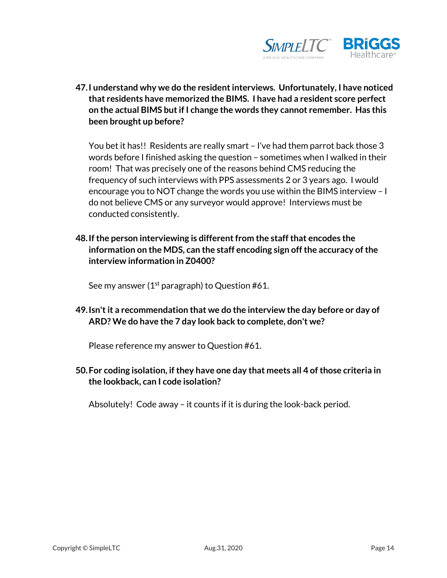

**47.I understand why we do the resident interviews. Unfortunately, I have noticed that residents have memorized the BIMS. I have had a resident score perfect on the actual BIMS but if I change the words they cannot remember. Has this been brought up before?** 

You bet it has!! Residents are really smart – I've had them parrot back those 3 words before I finished asking the question – sometimes when I walked in their room! That was precisely one of the reasons behind CMS reducing the frequency of such interviews with PPS assessments 2 or 3 years ago. I would encourage you to NOT change the words you use within the BIMS interview – I do not believe CMS or any surveyor would approve! Interviews must be conducted consistently.

**48.If the person interviewing is different from the staff that encodes the information on the MDS, can the staff encoding sign off the accuracy of the interview information in Z0400?**

See my answer ( $1<sup>st</sup>$  paragraph) to Question #61.

**49.Isn't it a recommendation that we do the interview the day before or day of ARD? We do have the 7 day look back to complete, don't we?**

Please reference my answer to Question #61.

**50.For coding isolation, if they have one day that meets all 4 of those criteria in the lookback, can I code isolation?**

Absolutely! Code away – it counts if it is during the look-back period.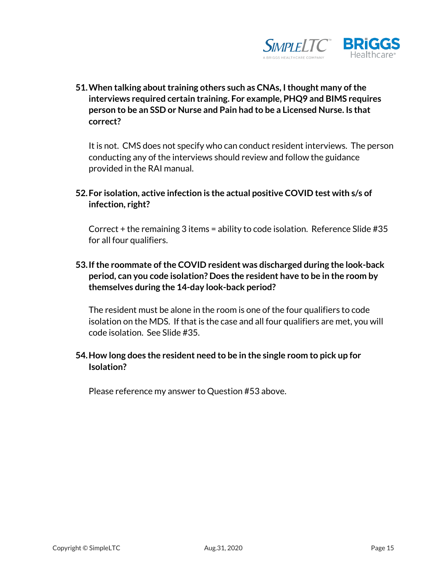

**51.When talking about training others such as CNAs, I thought many of the interviews required certain training. For example, PHQ9 and BIMS requires person to be an SSD or Nurse and Pain had to be a Licensed Nurse. Is that correct?**

It is not. CMS does not specify who can conduct resident interviews. The person conducting any of the interviews should review and follow the guidance provided in the RAI manual.

**52.For isolation, active infection is the actual positive COVID test with s/s of infection, right?**

Correct + the remaining 3 items = ability to code isolation. Reference Slide #35 for all four qualifiers.

**53.If the roommate of the COVID resident was discharged during the look-back period, can you code isolation? Does the resident have to be in the room by themselves during the 14-day look-back period?**

The resident must be alone in the room is one of the four qualifiers to code isolation on the MDS. If that is the case and all four qualifiers are met, you will code isolation. See Slide #35.

## **54.How long does the resident need to be in the single room to pick up for Isolation?**

Please reference my answer to Question #53 above.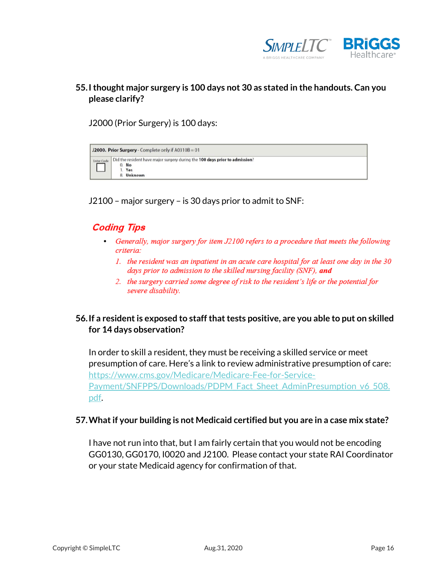

## **55.I thought major surgery is 100 days not 30 as stated in the handouts. Can you please clarify?**

J2000 (Prior Surgery) is 100 days:



J2100 – major surgery – is 30 days prior to admit to SNF:

## **Coding Tips**

- Generally, major surgery for item J2100 refers to a procedure that meets the following criteria:
	- 1. the resident was an inpatient in an acute care hospital for at least one day in the 30 days prior to admission to the skilled nursing facility (SNF), and
	- 2. the surgery carried some degree of risk to the resident's life or the potential for severe disability.

## **56.If a resident is exposed to staff that tests positive, are you able to put on skilled for 14 days observation?**

In order to skill a resident, they must be receiving a skilled service or meet presumption of care. Here's a link to review administrative presumption of care: [https://www.cms.gov/Medicare/Medicare-Fee-for-Service-](https://www.cms.gov/Medicare/Medicare-Fee-for-Service-Payment/SNFPPS/Downloads/PDPM_Fact_Sheet_AdminPresumption_v6_508.pdf)[Payment/SNFPPS/Downloads/PDPM\\_Fact\\_Sheet\\_AdminPresumption\\_v6\\_508.](https://www.cms.gov/Medicare/Medicare-Fee-for-Service-Payment/SNFPPS/Downloads/PDPM_Fact_Sheet_AdminPresumption_v6_508.pdf) [pdf.](https://www.cms.gov/Medicare/Medicare-Fee-for-Service-Payment/SNFPPS/Downloads/PDPM_Fact_Sheet_AdminPresumption_v6_508.pdf)

#### **57.What if your building is not Medicaid certified but you are in a case mix state?**

I have not run into that, but I am fairly certain that you would not be encoding GG0130, GG0170, I0020 and J2100. Please contact your state RAI Coordinator or your state Medicaid agency for confirmation of that.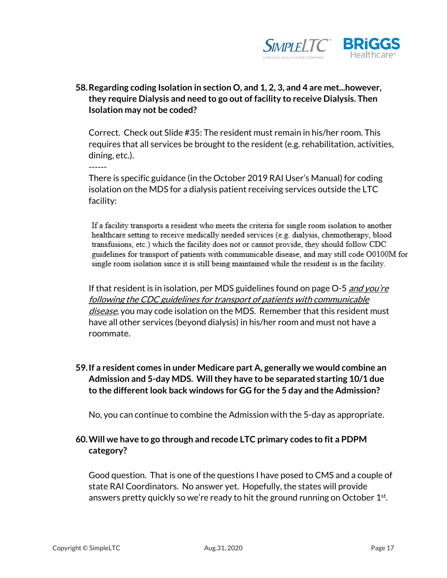

## **58.Regarding coding Isolation in section O, and 1, 2, 3, and 4 are met...however, they require Dialysis and need to go out of facility to receive Dialysis. Then Isolation may not be coded?**

Correct. Check out Slide #35: The resident must remain in his/her room. This requires that all services be brought to the resident (e.g. rehabilitation, activities, dining, etc.).

There is specific guidance (in the October 2019 RAI User's Manual) for coding isolation on the MDS for a dialysis patient receiving services outside the LTC facility:

If a facility transports a resident who meets the criteria for single room isolation to another healthcare setting to receive medically needed services (e.g. dialysis, chemotherapy, blood transfusions, etc.) which the facility does not or cannot provide, they should follow CDC guidelines for transport of patients with communicable disease, and may still code O0100M for single room isolation since it is still being maintained while the resident is in the facility.

If that resident is in isolation, per MDS guidelines found on page  $O-5$  and you're following the CDC guidelines for transport of patients with communicable disease, you may code isolation on the MDS. Remember that this resident must have all other services (beyond dialysis) in his/her room and must not have a roommate.

## **59.If a resident comes in under Medicare part A, generally we would combine an Admission and 5-day MDS. Will they have to be separated starting 10/1 due to the different look back windows for GG for the 5 day and the Admission?**

No, you can continue to combine the Admission with the 5-day as appropriate.

## **60.Will we have to go through and recode LTC primary codes to fit a PDPM category?**

Good question. That is one of the questions I have posed to CMS and a couple of state RAI Coordinators. No answer yet. Hopefully, the states will provide answers pretty quickly so we're ready to hit the ground running on October 1<sup>st</sup>.

------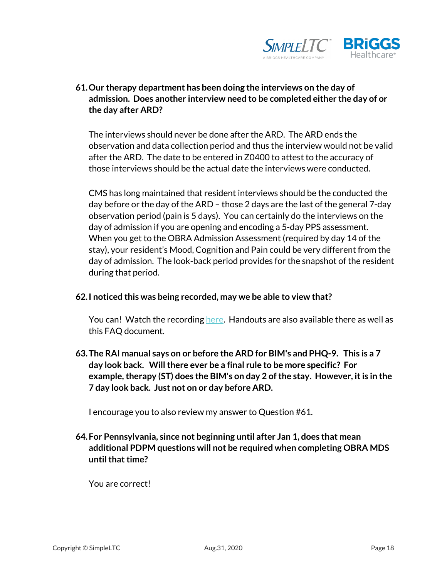

## **61.Our therapy department has been doing the interviews on the day of admission. Does another interview need to be completed either the day of or the day after ARD?**

The interviews should never be done after the ARD. The ARD ends the observation and data collection period and thus the interview would not be valid after the ARD. The date to be entered in Z0400 to attest to the accuracy of those interviews should be the actual date the interviews were conducted.

CMS has long maintained that resident interviews should be the conducted the day before or the day of the ARD – those 2 days are the last of the general 7-day observation period (pain is 5 days). You can certainly do the interviews on the day of admission if you are opening and encoding a 5-day PPS assessment. When you get to the OBRA Admission Assessment (required by day 14 of the stay), your resident's Mood, Cognition and Pain could be very different from the day of admission. The look-back period provides for the snapshot of the resident during that period.

### **62.I noticed this was being recorded, may we be able to view that?**

You can! Watch the recording [here.](https://www.simpleltc.com/mds-3-0-changes/) Handouts are also available there as well as this FAQ document.

**63.The RAI manual says on or before the ARD for BIM's and PHQ-9. This is a 7 day look back. Will there ever be a final rule to be more specific? For example, therapy (ST) does the BIM's on day 2 of the stay. However, it is in the 7 day look back. Just not on or day before ARD.**

I encourage you to also review my answer to Question #61.

**64.For Pennsylvania, since not beginning until after Jan 1, does that mean additional PDPM questions will not be required when completing OBRA MDS until that time?**

You are correct!